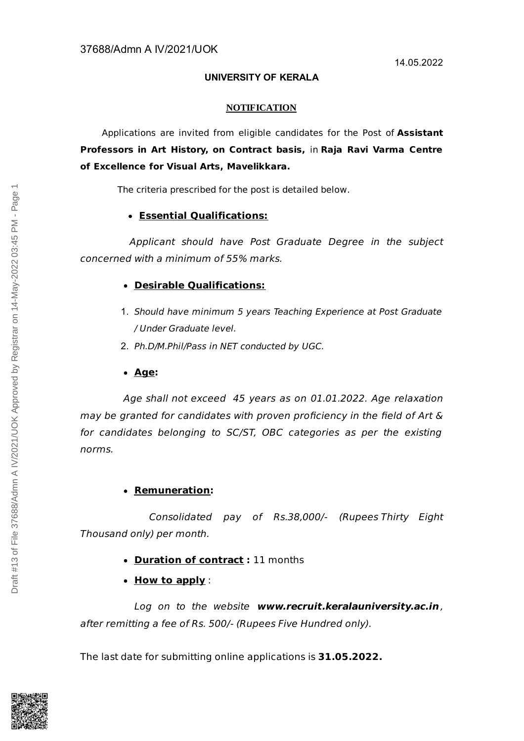## **UNIVERSITY OF KERALA**

## **NOTIFICATION**

Applications are invited from eligible candidates for the Post of **Assistant Professors in Art History, on Contract basis,** in **Raja Ravi Varma Centre of Excellence for Visual Arts, Mavelikkara.**

The criteria prescribed for the post is detailed below.

## **Essential Qualifications:**

Applicant should have Post Graduate Degree in the subject concerned with a minimum of 55% marks.

# **Desirable Qualifications:**

- 1. Should have minimum 5 years Teaching Experience at Post Graduate / Under Graduate level.
- 2. Ph.D/M.Phil/Pass in NET conducted by UGC.
- **Age:**

Age shall not exceed 45 years as on 01.01.2022. Age relaxation may be granted for candidates with proven proficiency in the field of Art & for candidates belonging to SC/ST, OBC categories as per the existing norms.

# **Remuneration:**

Consolidated pay of Rs.38,000/- (Rupees Thirty Eight Thousand only) per month.

- **Duration of contract :** 11 months
- **How to apply** :

Log on to the website **www.recruit.keralauniversity.ac.in** , after remitting a fee of Rs. 500/- (Rupees Five Hundred only).

The last date for submitting online applications is **31.05.2022.**